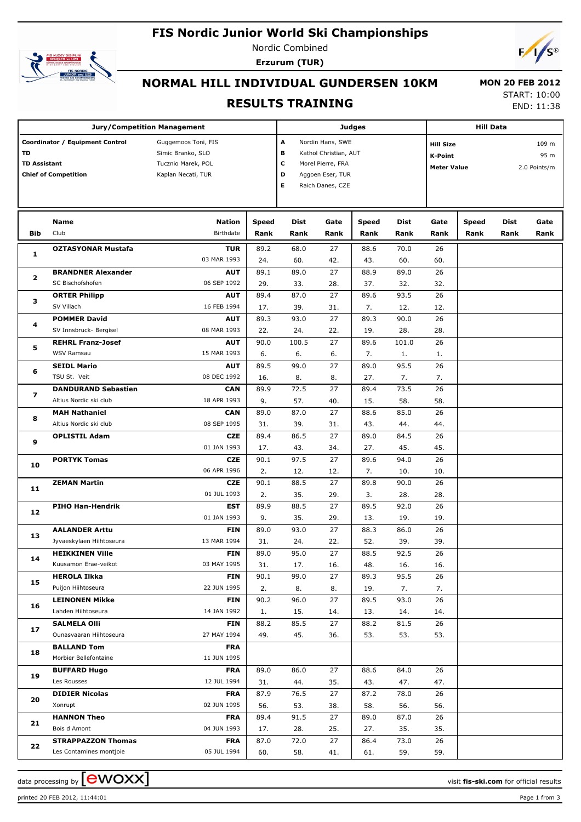## **FIS Nordic Junior World Ski Championships**



Nordic Combined **Erzurum (TUR)**



# **NORMAL HILL INDIVIDUAL GUNDERSEN 10KM**

#### **RESULTS TRAINING**

 **MON 20 FEB 2012** START: 10:00

END: 11:38

|                     |                                 | <b>Jury/Competition Management</b> |                            |                  |                   | <b>Judges</b>         |                                    |                    | <b>Hill Data</b> |              |       |  |  |
|---------------------|---------------------------------|------------------------------------|----------------------------|------------------|-------------------|-----------------------|------------------------------------|--------------------|------------------|--------------|-------|--|--|
|                     | Coordinator / Equipment Control | Guggemoos Toni, FIS                |                            |                  |                   | Nordin Hans, SWE<br>A |                                    |                    |                  |              | 109 m |  |  |
| TD                  |                                 | Simic Branko, SLO                  | в<br>Kathol Christian, AUT |                  |                   |                       | <b>Hill Size</b><br><b>K-Point</b> |                    |                  | 95 m         |       |  |  |
| <b>TD Assistant</b> |                                 | Tucznio Marek, POL                 |                            | c                | Morel Pierre, FRA |                       |                                    | <b>Meter Value</b> |                  |              |       |  |  |
|                     | <b>Chief of Competition</b>     | Kaplan Necati, TUR                 | D                          | Aggoen Eser, TUR |                   |                       |                                    |                    |                  | 2.0 Points/m |       |  |  |
|                     |                                 |                                    |                            | Е                | Raich Danes, CZE  |                       |                                    |                    |                  |              |       |  |  |
|                     |                                 |                                    |                            |                  |                   |                       |                                    |                    |                  |              |       |  |  |
|                     |                                 |                                    |                            |                  |                   |                       |                                    |                    |                  |              |       |  |  |
|                     | Name                            | <b>Nation</b>                      | Speed                      | <b>Dist</b>      | Gate              | Speed                 | <b>Dist</b>                        | Gate               | <b>Speed</b>     | Dist         | Gate  |  |  |
| Bib                 | Club                            | Birthdate                          | Rank                       | Rank             | Rank              | Rank                  | Rank                               | Rank               | Rank             | Rank         | Rank  |  |  |
|                     | <b>OZTASYONAR Mustafa</b>       | <b>TUR</b>                         | 89.2                       | 68.0             | 27                | 88.6                  | 70.0                               | 26                 |                  |              |       |  |  |
| 1                   |                                 | 03 MAR 1993                        | 24.                        | 60.              | 42.               | 43.                   | 60.                                | 60.                |                  |              |       |  |  |
|                     | <b>BRANDNER Alexander</b>       | <b>AUT</b>                         | 89.1                       | 89.0             | 27                | 88.9                  | 89.0                               | 26                 |                  |              |       |  |  |
| $\mathbf{2}$        | SC Bischofshofen                | 06 SEP 1992                        | 29.                        | 33.              | 28.               | 37.                   | 32.                                | 32.                |                  |              |       |  |  |
|                     | <b>ORTER Philipp</b>            | <b>AUT</b>                         | 89.4                       | 87.0             | 27                | 89.6                  | 93.5                               | 26                 |                  |              |       |  |  |
| з                   | SV Villach                      | 16 FEB 1994                        | 17.                        | 39.              | 31.               | 7.                    | 12.                                | 12.                |                  |              |       |  |  |
|                     | <b>POMMER David</b>             | <b>AUT</b>                         | 89.3                       | 93.0             | 27                | 89.3                  | 90.0                               | 26                 |                  |              |       |  |  |
| 4                   | SV Innsbruck- Bergisel          | 08 MAR 1993                        | 22.                        | 24.              | 22.               | 19.                   | 28.                                | 28.                |                  |              |       |  |  |
|                     | <b>REHRL Franz-Josef</b>        | <b>AUT</b>                         | 90.0                       | 100.5            | 27                | 89.6                  | 101.0                              | 26                 |                  |              |       |  |  |
| 5                   | WSV Ramsau                      | 15 MAR 1993                        | 6.                         | 6.               | 6.                | 7.                    | 1.                                 | 1.                 |                  |              |       |  |  |
|                     | <b>SEIDL Mario</b>              | <b>AUT</b>                         | 89.5                       | 99.0             | 27                | 89.0                  | 95.5                               | 26                 |                  |              |       |  |  |
| 6                   | TSU St. Veit                    | 08 DEC 1992                        | 16.                        | 8.               | 8.                | 27.                   | 7.                                 | 7.                 |                  |              |       |  |  |
|                     | <b>DANDURAND Sebastien</b>      | <b>CAN</b>                         | 89.9                       | 72.5             | 27                | 89.4                  | 73.5                               | 26                 |                  |              |       |  |  |
| $\overline{ }$      | Altius Nordic ski club          | 18 APR 1993                        | 9.                         | 57.              | 40.               | 15.                   | 58.                                | 58.                |                  |              |       |  |  |
| 8                   | <b>MAH Nathaniel</b>            | <b>CAN</b>                         | 89.0                       | 87.0             | 27                | 88.6                  | 85.0                               | 26                 |                  |              |       |  |  |
|                     | Altius Nordic ski club          | 08 SEP 1995                        | 31.                        | 39.              | 31.               | 43.                   | 44.                                | 44.                |                  |              |       |  |  |
| 9                   | <b>OPLISTIL Adam</b>            | <b>CZE</b>                         | 89.4                       | 86.5             | 27                | 89.0                  | 84.5                               | 26                 |                  |              |       |  |  |
|                     |                                 | 01 JAN 1993                        | 17.                        | 43.              | 34.               | 27.                   | 45.                                | 45.                |                  |              |       |  |  |
| 10                  | <b>PORTYK Tomas</b>             | <b>CZE</b>                         | 90.1                       | 97.5             | 27                | 89.6                  | 94.0                               | 26                 |                  |              |       |  |  |
|                     |                                 | 06 APR 1996                        | 2.                         | 12.              | 12.               | 7.                    | 10.                                | 10.                |                  |              |       |  |  |
|                     | <b>ZEMAN Martin</b>             | <b>CZE</b>                         | 90.1                       | 88.5             | 27                | 89.8                  | 90.0                               | 26                 |                  |              |       |  |  |
| 11                  |                                 | 01 JUL 1993                        | 2.                         | 35.              | 29.               | 3.                    | 28.                                | 28.                |                  |              |       |  |  |
|                     | <b>PIHO Han-Hendrik</b>         | <b>EST</b>                         | 89.9                       | 88.5             | 27                | 89.5                  | 92.0                               | 26                 |                  |              |       |  |  |
| 12                  |                                 | 01 JAN 1993                        | 9.                         | 35.              | 29.               | 13.                   | 19.                                | 19.                |                  |              |       |  |  |
|                     | <b>AALANDER Arttu</b>           | <b>FIN</b>                         | 89.0                       | 93.0             | 27                | 88.3                  | 86.0                               | 26                 |                  |              |       |  |  |
| 13                  | Jyvaeskylaen Hiihtoseura        | 13 MAR 1994                        | 31.                        | 24.              | 22.               | 52.                   | 39.                                | 39.                |                  |              |       |  |  |
|                     | <b>HEIKKINEN Ville</b>          | <b>FIN</b>                         | 89.0                       | 95.0             | 27                | 88.5                  | 92.5                               | 26                 |                  |              |       |  |  |
| 14                  | Kuusamon Erae-veikot            | 03 MAY 1995                        | 31.                        | 17.              | 16.               | 48.                   | 16.                                | 16.                |                  |              |       |  |  |
|                     | <b>HEROLA Ilkka</b>             | <b>FIN</b>                         | 90.1                       | 99.0             | 27                | 89.3                  | 95.5                               | 26                 |                  |              |       |  |  |
| 15                  | Puijon Hiihtoseura              | 22 JUN 1995                        | 2.                         | 8.               | 8.                | 19.                   | 7.                                 | 7.                 |                  |              |       |  |  |
|                     | <b>LEINONEN Mikke</b>           | <b>FIN</b>                         | 90.2                       | 96.0             | 27                | 89.5                  | 93.0                               | 26                 |                  |              |       |  |  |
| 16                  | Lahden Hiihtoseura              | 14 JAN 1992                        | 1.                         | 15.              | 14.               | 13.                   | 14.                                | 14.                |                  |              |       |  |  |
|                     | <b>SALMELA Olli</b>             | <b>FIN</b>                         | 88.2                       | 85.5             | 27                | 88.2                  | 81.5                               | 26                 |                  |              |       |  |  |
| 17                  | Ounasvaaran Hiihtoseura         | 27 MAY 1994                        | 49.                        | 45.              | 36.               | 53.                   | 53.                                | 53.                |                  |              |       |  |  |
|                     | <b>BALLAND Tom</b>              | <b>FRA</b>                         |                            |                  |                   |                       |                                    |                    |                  |              |       |  |  |
| 18                  | Morbier Bellefontaine           | 11 JUN 1995                        |                            |                  |                   |                       |                                    |                    |                  |              |       |  |  |
|                     | <b>BUFFARD Hugo</b>             | <b>FRA</b>                         | 89.0                       | 86.0             | 27                | 88.6                  | 84.0                               | 26                 |                  |              |       |  |  |
| 19                  | Les Rousses                     | 12 JUL 1994                        | 31.                        | 44.              | 35.               | 43.                   | 47.                                | 47.                |                  |              |       |  |  |
|                     | <b>DIDIER Nicolas</b>           | <b>FRA</b>                         | 87.9                       | 76.5             | 27                | 87.2                  | 78.0                               | 26                 |                  |              |       |  |  |
| 20                  | Xonrupt                         | 02 JUN 1995                        | 56.                        | 53.              | 38.               | 58.                   | 56.                                | 56.                |                  |              |       |  |  |
|                     | <b>HANNON Theo</b>              | <b>FRA</b>                         | 89.4                       | 91.5             | 27                | 89.0                  | 87.0                               | 26                 |                  |              |       |  |  |
| 21                  | Bois d Amont                    | 04 JUN 1993                        | 17.                        | 28.              | 25.               | 27.                   | 35.                                | 35.                |                  |              |       |  |  |
|                     | <b>STRAPPAZZON Thomas</b>       | <b>FRA</b>                         | 87.0                       | 72.0             | 27                | 86.4                  | 73.0                               | 26                 |                  |              |       |  |  |
| 22                  | Les Contamines montjoie         | 05 JUL 1994                        | 60.                        | 58.              | 41.               | 61.                   | 59.                                | 59.                |                  |              |       |  |  |

printed 20 FEB 2012, 11:44:01 Page 1 from 3

data processing by  $\boxed{\text{ewOX}}$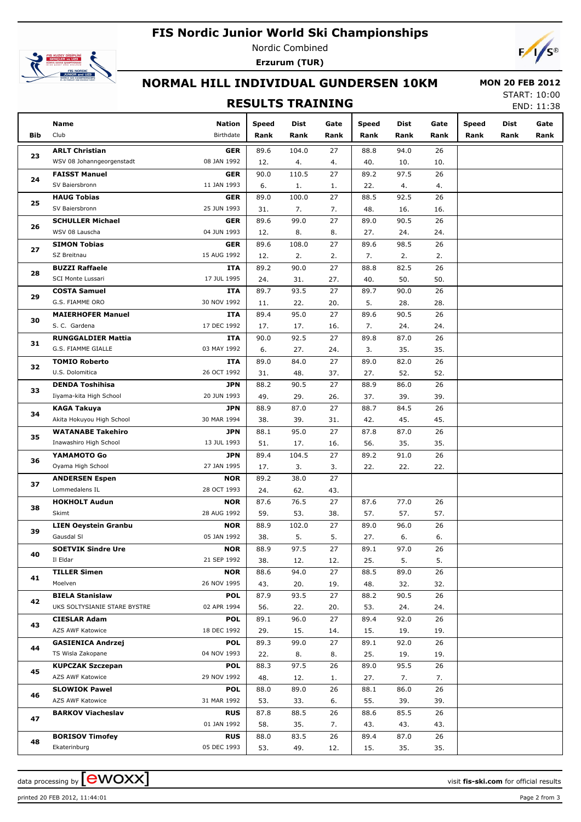## **FIS Nordic Junior World Ski Championships**



Nordic Combined **Erzurum (TUR)**



# **NORMAL HILL INDIVIDUAL GUNDERSEN 10KM**

### **RESULTS TRAINING**

 **MON 20 FEB 2012** START: 10:00

END: 11:38

|            | Name                                   | <b>Nation</b>             | Speed       | Dist        | Gate      | Speed       | Dist        | Gate      | Speed | <b>Dist</b> | Gate |
|------------|----------------------------------------|---------------------------|-------------|-------------|-----------|-------------|-------------|-----------|-------|-------------|------|
| <b>Bib</b> | Club                                   | Birthdate                 | Rank        | Rank        | Rank      | Rank        | Rank        | Rank      | Rank  | Rank        | Rank |
|            | <b>ARLT Christian</b>                  | <b>GER</b>                | 89.6        | 104.0       | 27        | 88.8        | 94.0        | 26        |       |             |      |
| 23         | WSV 08 Johanngeorgenstadt              | 08 JAN 1992               | 12.         | 4.          | 4.        | 40.         | 10.         | 10.       |       |             |      |
|            | <b>FAISST Manuel</b>                   | <b>GER</b>                | 90.0        | 110.5       | 27        | 89.2        | 97.5        | 26        |       |             |      |
| 24         | SV Baiersbronn                         | 11 JAN 1993               | 6.          | 1.          | 1.        | 22.         | 4.          | 4.        |       |             |      |
|            | <b>HAUG Tobias</b>                     | <b>GER</b>                | 89.0        | 100.0       | 27        | 88.5        | 92.5        | 26        |       |             |      |
| 25         | SV Baiersbronn                         | 25 JUN 1993               | 31.         | 7.          | 7.        | 48.         | 16.         | 16.       |       |             |      |
| 26         | <b>SCHULLER Michael</b>                | <b>GER</b>                | 89.6        | 99.0        | 27        | 89.0        | 90.5        | 26        |       |             |      |
|            | WSV 08 Lauscha                         | 04 JUN 1993               | 12.         | 8.          | 8.        | 27.         | 24.         | 24.       |       |             |      |
| 27         | <b>SIMON Tobias</b>                    | <b>GER</b>                | 89.6        | 108.0       | 27        | 89.6        | 98.5        | 26        |       |             |      |
|            | SZ Breitnau                            | 15 AUG 1992               | 12.         | 2.          | 2.        | 7.          | 2.          | 2.        |       |             |      |
| 28         | <b>BUZZI Raffaele</b>                  | ITA                       | 89.2        | 90.0        | 27        | 88.8        | 82.5        | 26        |       |             |      |
|            | SCI Monte Lussari                      | 17 JUL 1995               | 24.         | 31.         | 27.       | 40.         | 50.         | 50.       |       |             |      |
| 29         | <b>COSTA Samuel</b>                    | ITA                       | 89.7        | 93.5        | 27        | 89.7        | 90.0        | 26        |       |             |      |
|            | G.S. FIAMME ORO                        | 30 NOV 1992               | 11.         | 22.         | 20.       | 5.          | 28.         | 28.       |       |             |      |
| 30         | <b>MAIERHOFER Manuel</b>               | ITA                       | 89.4        | 95.0        | 27        | 89.6        | 90.5        | 26        |       |             |      |
|            | S. C. Gardena                          | 17 DEC 1992               | 17.         | 17.         | 16.       | 7.          | 24.         | 24.       |       |             |      |
| 31         | <b>RUNGGALDIER Mattia</b>              | ITA                       | 90.0        | 92.5        | 27        | 89.8        | 87.0        | 26        |       |             |      |
|            | G.S. FIAMME GIALLE                     | 03 MAY 1992               | 6.          | 27.         | 24.       | 3.          | 35.         | 35.       |       |             |      |
| 32         | <b>TOMIO Roberto</b>                   | ITA                       | 89.0        | 84.0        | 27        | 89.0        | 82.0        | 26        |       |             |      |
|            | U.S. Dolomitica                        | 26 OCT 1992               | 31.         | 48.         | 37.       | 27.         | 52.         | 52.       |       |             |      |
| 33         | <b>DENDA Toshihisa</b>                 | <b>JPN</b>                | 88.2        | 90.5        | 27        | 88.9        | 86.0        | 26        |       |             |      |
| 34<br>35   | Iiyama-kita High School                | 20 JUN 1993               | 49.         | 29.         | 26.       | 37.         | 39.         | 39.       |       |             |      |
|            | <b>KAGA Takuya</b>                     | <b>JPN</b>                | 88.9        | 87.0        | 27        | 88.7        | 84.5        | 26        |       |             |      |
|            | Akita Hokuyou High School              | 30 MAR 1994               | 38.         | 39.         | 31.       | 42.         | 45.         | 45.       |       |             |      |
|            | <b>WATANABE Takehiro</b>               | <b>JPN</b>                | 88.1        | 95.0        | 27        | 87.8        | 87.0        | 26        |       |             |      |
|            | Inawashiro High School                 | 13 JUL 1993               | 51.         | 17.         | 16.       | 56.         | 35.         | 35.       |       |             |      |
| 36         | YAMAMOTO Go                            | <b>JPN</b>                | 89.4        | 104.5       | 27        | 89.2        | 91.0        | 26        |       |             |      |
|            | Oyama High School                      | 27 JAN 1995               | 17.         | 3.          | 3.        | 22.         | 22.         | 22.       |       |             |      |
| 37         | <b>ANDERSEN Espen</b>                  | <b>NOR</b>                | 89.2        | 38.0        | 27        |             |             |           |       |             |      |
|            | Lommedalens IL<br><b>HOKHOLT Audun</b> | 28 OCT 1993               | 24.         | 62.         | 43.<br>27 |             |             |           |       |             |      |
| 38         | Skimt                                  | <b>NOR</b><br>28 AUG 1992 | 87.6<br>59. | 76.5<br>53. | 38.       | 87.6<br>57. | 77.0<br>57. | 26<br>57. |       |             |      |
|            | <b>LIEN Oeystein Granbu</b>            | <b>NOR</b>                | 88.9        | 102.0       | 27        | 89.0        | 96.0        | 26        |       |             |      |
| 39         | Gausdal SI                             | 05 JAN 1992               | 38.         | 5.          | 5.        | 27.         | 6.          | 6.        |       |             |      |
|            | <b>SOETVIK Sindre Ure</b>              | NOR                       | 88.9        | 97.5        | 27        | 89.1        | 97.0        | 26        |       |             |      |
| 40         | Il Eldar                               | 21 SEP 1992               | 38.         | 12.         | 12.       | 25.         | 5.          | 5.        |       |             |      |
|            | <b>TILLER Simen</b>                    | <b>NOR</b>                | 88.6        | 94.0        | 27        | 88.5        | 89.0        | 26        |       |             |      |
| 41         | Moelven                                | 26 NOV 1995               | 43.         | 20.         | 19.       | 48.         | 32.         | 32.       |       |             |      |
|            | <b>BIELA Stanislaw</b>                 | <b>POL</b>                | 87.9        | 93.5        | 27        | 88.2        | 90.5        | 26        |       |             |      |
| 42         | UKS SOLTYSIANIE STARE BYSTRE           | 02 APR 1994               | 56.         | 22.         | 20.       | 53.         | 24.         | 24.       |       |             |      |
|            | <b>CIESLAR Adam</b>                    | <b>POL</b>                | 89.1        | 96.0        | 27        | 89.4        | 92.0        | 26        |       |             |      |
| 43         | AZS AWF Katowice                       | 18 DEC 1992               | 29.         | 15.         | 14.       | 15.         | 19.         | 19.       |       |             |      |
|            | <b>GASIENICA Andrzej</b>               | <b>POL</b>                | 89.3        | 99.0        | 27        | 89.1        | 92.0        | 26        |       |             |      |
| 44         | TS Wisla Zakopane                      | 04 NOV 1993               | 22.         | 8.          | 8.        | 25.         | 19.         | 19.       |       |             |      |
|            | <b>KUPCZAK Szczepan</b>                | <b>POL</b>                | 88.3        | 97.5        | 26        | 89.0        | 95.5        | 26        |       |             |      |
| 45         | AZS AWF Katowice                       | 29 NOV 1992               | 48.         | 12.         | 1.        | 27.         | 7.          | 7.        |       |             |      |
|            | <b>SLOWIOK Pawel</b>                   | <b>POL</b>                | 88.0        | 89.0        | 26        | 88.1        | 86.0        | 26        |       |             |      |
| 46         | AZS AWF Katowice                       | 31 MAR 1992               | 53.         | 33.         | 6.        | 55.         | 39.         | 39.       |       |             |      |
|            | <b>BARKOV Viacheslav</b>               | <b>RUS</b>                | 87.8        | 88.5        | 26        | 88.6        | 85.5        | 26        |       |             |      |
| 47         |                                        | 01 JAN 1992               | 58.         | 35.         | 7.        | 43.         | 43.         | 43.       |       |             |      |
|            | <b>BORISOV Timofey</b>                 | <b>RUS</b>                | 88.0        | 83.5        | 26        | 89.4        | 87.0        | 26        |       |             |      |
| 48         | Ekaterinburg                           | 05 DEC 1993               | 53.         | 49.         | 12.       | 15.         | 35.         | 35.       |       |             |      |

printed 20 FEB 2012, 11:44:01 Page 2 from 3

data processing by **CWOXX** and  $\overline{A}$  and  $\overline{B}$  wisit **fis-ski.com** for official results